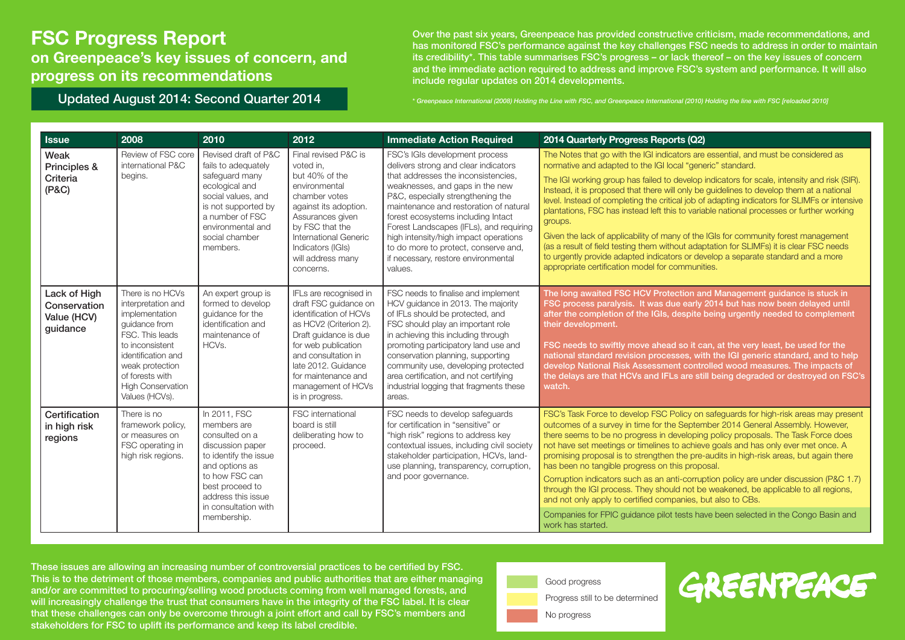on Greenpeace's key issues of concern, and progress on its recommendations

Over the past six years, Greenpeace has provided constructive criticism, made recommendations, and has monitored FSC's performance against the key challenges FSC needs to address in order to maintain its credibility\*. This table summarises FSC's progress – or lack thereof – on the key issues of concern and the immediate action required to address and improve FSC's system and performance. It will also include regular updates on 2014 developments.

Updated August 2014: Second Quarter 2014 \* \* Greenpeace International (2008) Holding the Line with FSC, and Greenpeace International (2010) Holding the line with FSC [reloaded 2010]

| <b>Issue</b>                                            | 2008                                                                                                                                                                                                                      | 2010                                                                                                                                                                                                           | 2012                                                                                                                                                                                                                                                              | <b>Immediate Action Required</b>                                                                                                                                                                                                                                                                                                                                                                                                                    | 2014 Quarterly Progress Reports (Q2)                                                                                                                                                                                                                                                                                                                                                                                                                                                                                                                                                                                                                                                                                                                                                                                                                                         |
|---------------------------------------------------------|---------------------------------------------------------------------------------------------------------------------------------------------------------------------------------------------------------------------------|----------------------------------------------------------------------------------------------------------------------------------------------------------------------------------------------------------------|-------------------------------------------------------------------------------------------------------------------------------------------------------------------------------------------------------------------------------------------------------------------|-----------------------------------------------------------------------------------------------------------------------------------------------------------------------------------------------------------------------------------------------------------------------------------------------------------------------------------------------------------------------------------------------------------------------------------------------------|------------------------------------------------------------------------------------------------------------------------------------------------------------------------------------------------------------------------------------------------------------------------------------------------------------------------------------------------------------------------------------------------------------------------------------------------------------------------------------------------------------------------------------------------------------------------------------------------------------------------------------------------------------------------------------------------------------------------------------------------------------------------------------------------------------------------------------------------------------------------------|
| Weak<br>Principles &<br>Criteria<br>(P&C)               | Review of FSC core<br>international P&C<br>begins.                                                                                                                                                                        | Revised draft of P&C<br>fails to adequately<br>safequard many<br>ecological and<br>social values, and<br>is not supported by<br>a number of FSC<br>environmental and<br>social chamber<br>members.             | Final revised P&C is<br>voted in.<br>but 40% of the<br>environmental<br>chamber votes<br>against its adoption.<br>Assurances given<br>by FSC that the<br>International Generic<br>Indicators (IGIs)<br>will address many<br>concerns.                             | FSC's IGIs development process<br>delivers strong and clear indicators<br>that addresses the inconsistencies.<br>weaknesses, and gaps in the new<br>P&C, especially strengthening the<br>maintenance and restoration of natural<br>forest ecosystems including Intact<br>Forest Landscapes (IFLs), and requiring<br>high intensity/high impact operations<br>to do more to protect, conserve and,<br>if necessary, restore environmental<br>values. | The Notes that go with the IGI indicators are essential, and must be considered as<br>normative and adapted to the IGI local "generic" standard.<br>The IGI working group has failed to develop indicators for scale, intensity and risk (SIR).<br>Instead, it is proposed that there will only be guidelines to develop them at a national<br>level. Instead of completing the critical job of adapting indicators for SLIMFs or intensive<br>plantations, FSC has instead left this to variable national processes or further working<br>groups.<br>Given the lack of applicability of many of the IGIs for community forest management<br>(as a result of field testing them without adaptation for SLIMFs) it is clear FSC needs<br>to urgently provide adapted indicators or develop a separate standard and a more<br>appropriate certification model for communities. |
| Lack of High<br>Conservation<br>Value (HCV)<br>guidance | There is no HCVs<br>interpretation and<br>implementation<br>quidance from<br>FSC. This leads<br>to inconsistent<br>identification and<br>weak protection<br>of forests with<br><b>High Conservation</b><br>Values (HCVs). | An expert group is<br>formed to develop<br>quidance for the<br>identification and<br>maintenance of<br>HCV <sub>s</sub> .                                                                                      | IFLs are recognised in<br>draft FSC quidance on<br>identification of HCVs<br>as HCV2 (Criterion 2).<br>Draft quidance is due<br>for web publication<br>and consultation in<br>late 2012. Guidance<br>for maintenance and<br>management of HCVs<br>is in progress. | FSC needs to finalise and implement<br>HCV quidance in 2013. The majority<br>of IFLs should be protected, and<br>FSC should play an important role<br>in achieving this including through<br>promoting participatory land use and<br>conservation planning, supporting<br>community use, developing protected<br>area certification, and not certifying<br>industrial logging that fragments these<br>areas.                                        | The long awaited FSC HCV Protection and Management guidance is stuck in<br>FSC process paralysis. It was due early 2014 but has now been delayed until<br>after the completion of the IGIs, despite being urgently needed to complement<br>their development.<br>FSC needs to swiftly move ahead so it can, at the very least, be used for the<br>national standard revision processes, with the IGI generic standard, and to help<br>develop National Risk Assessment controlled wood measures. The impacts of<br>the delays are that HCVs and IFLs are still being degraded or destroyed on FSC's<br>watch.                                                                                                                                                                                                                                                                |
| Certification<br>in high risk<br>regions                | There is no<br>framework policy,<br>or measures on<br>FSC operating in<br>high risk regions.                                                                                                                              | In 2011, FSC<br>members are<br>consulted on a<br>discussion paper<br>to identify the issue<br>and options as<br>to how FSC can<br>best proceed to<br>address this issue<br>in consultation with<br>membership. | FSC international<br>board is still<br>deliberating how to<br>proceed.                                                                                                                                                                                            | FSC needs to develop safequards<br>for certification in "sensitive" or<br>"high risk" regions to address key<br>contextual issues, including civil society<br>stakeholder participation, HCVs, land-<br>use planning, transparency, corruption,<br>and poor governance.                                                                                                                                                                             | FSC's Task Force to develop FSC Policy on safeguards for high-risk areas may present<br>outcomes of a survey in time for the September 2014 General Assembly. However,<br>there seems to be no progress in developing policy proposals. The Task Force does<br>not have set meetings or timelines to achieve goals and has only ever met once. A<br>promising proposal is to strengthen the pre-audits in high-risk areas, but again there<br>has been no tangible progress on this proposal.<br>Corruption indicators such as an anti-corruption policy are under discussion (P&C 1.7)<br>through the IGI process. They should not be weakened, be applicable to all regions,<br>and not only apply to certified companies, but also to CBs.<br>Companies for FPIC guidance pilot tests have been selected in the Congo Basin and<br>work has started.                      |



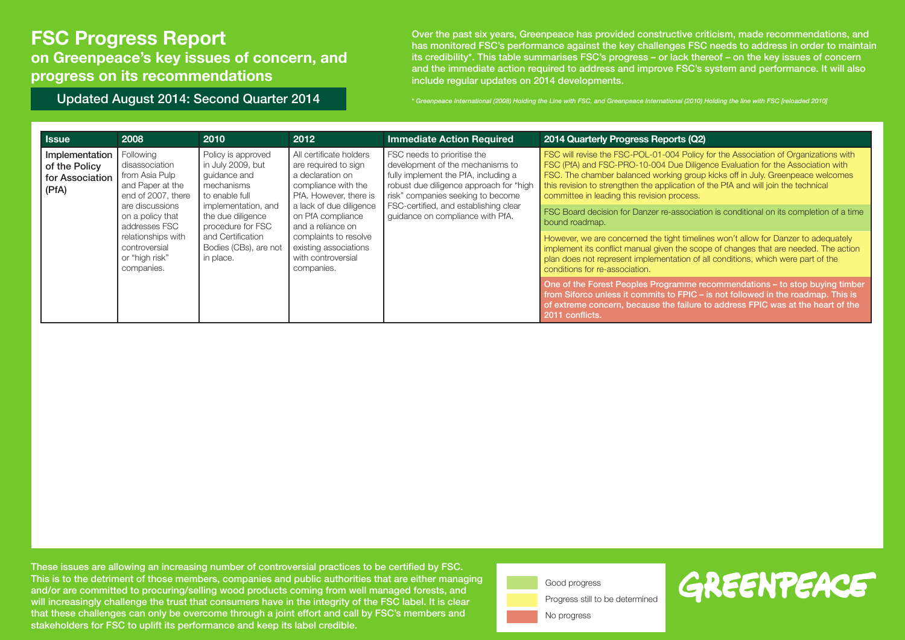on Greenpeace's key issues of concern, and progress on its recommendations

Over the past six years, Greenpeace has provided constructive criticism, made recommendations, and has monitored FSC's performance against the key challenges FSC needs to address in order to maintain its credibility\*. This table summarises FSC's progress – or lack thereof – on the key issues of concern and the immediate action required to address and improve FSC's system and performance. It will also include regular updates on 2014 developments.

Updated August 2014: Second Quarter 2014 \* The state of thermational (2008) Holding the Line with FSC, and Greenpeace International (2010) Holding the line with FSC [reloaded 2010]

|  | <b>Issue</b>                                                | 2008                                                                                                                                                                                                                   | 2010                                                                                                                                                                                                                | 2012                                                                                                                                                                                                                                                                            | <b>Immediate Action Required</b>                                                                                                                                                                                                                                     | 2014 Quarterly Progress Reports (Q2)                                                                                                                                                                                                                                                                                                                                                         |
|--|-------------------------------------------------------------|------------------------------------------------------------------------------------------------------------------------------------------------------------------------------------------------------------------------|---------------------------------------------------------------------------------------------------------------------------------------------------------------------------------------------------------------------|---------------------------------------------------------------------------------------------------------------------------------------------------------------------------------------------------------------------------------------------------------------------------------|----------------------------------------------------------------------------------------------------------------------------------------------------------------------------------------------------------------------------------------------------------------------|----------------------------------------------------------------------------------------------------------------------------------------------------------------------------------------------------------------------------------------------------------------------------------------------------------------------------------------------------------------------------------------------|
|  | Implementation<br>of the Policy<br>for Association<br>(PfA) | Following<br>disassociation<br>from Asia Pulp<br>and Paper at the<br>end of 2007, there<br>are discussions<br>on a policy that<br>addresses FSC<br>relationships with<br>controversial<br>or "high risk"<br>companies. | Policy is approved<br>in July 2009, but<br>guidance and<br>mechanisms<br>to enable full<br>implementation, and<br>the due diligence<br>procedure for FSC<br>and Certification<br>Bodies (CBs), are not<br>in place. | All certificate holders<br>are required to sign<br>a declaration on<br>compliance with the<br>PfA. However, there is<br>a lack of due diligence<br>on PfA compliance<br>and a reliance on<br>complaints to resolve<br>existing associations<br>with controversial<br>companies. | FSC needs to prioritise the<br>development of the mechanisms to<br>fully implement the PfA, including a<br>robust due diligence approach for "high<br>risk" companies seeking to become<br>FSC-certified, and establishing clear<br>quidance on compliance with PfA. | FSC will revise the FSC-POL-01-004 Policy for the Association of Organizations with<br>FSC (PfA) and FSC-PRO-10-004 Due Diligence Evaluation for the Association with<br>FSC. The chamber balanced working group kicks off in July. Greenpeace welcomes<br>this revision to strengthen the application of the PfA and will join the technical<br>committee in leading this revision process. |
|  |                                                             |                                                                                                                                                                                                                        |                                                                                                                                                                                                                     |                                                                                                                                                                                                                                                                                 |                                                                                                                                                                                                                                                                      | FSC Board decision for Danzer re-association is conditional on its completion of a time<br>bound roadmap.                                                                                                                                                                                                                                                                                    |
|  |                                                             |                                                                                                                                                                                                                        |                                                                                                                                                                                                                     |                                                                                                                                                                                                                                                                                 |                                                                                                                                                                                                                                                                      | However, we are concerned the tight timelines won't allow for Danzer to adequately<br>implement its conflict manual given the scope of changes that are needed. The action<br>plan does not represent implementation of all conditions, which were part of the<br>conditions for re-association.                                                                                             |
|  |                                                             |                                                                                                                                                                                                                        |                                                                                                                                                                                                                     |                                                                                                                                                                                                                                                                                 |                                                                                                                                                                                                                                                                      | One of the Forest Peoples Programme recommendations – to stop buying timber<br>from Siforco unless it commits to FPIC – is not followed in the roadmap. This is<br>of extreme concern, because the failure to address FPIC was at the heart of the<br>2011 conflicts.                                                                                                                        |



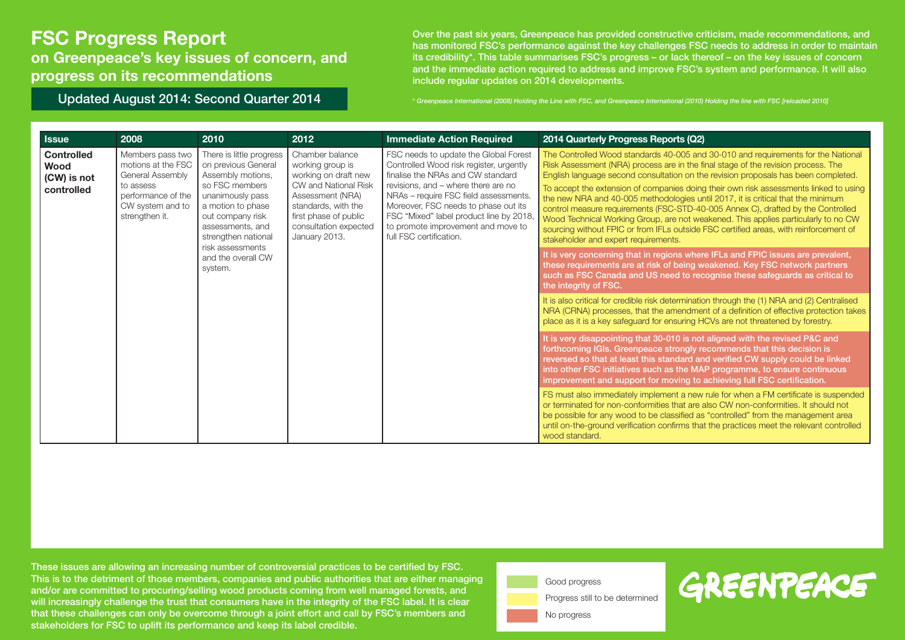on Greenpeace's key issues of concern, and progress on its recommendations

Updated August 2014: Second Quarter 2014

Over the past six years, Greenpeace has provided constructive criticism, made recommendations, and has monitored FSC's performance against the key challenges FSC needs to address in order to maintain its credibility\*. This table summarises FSC's progress – or lack thereof – on the key issues of concern and the immediate action required to address and improve FSC's system and performance. It will also include regular updates on 2014 developments.

\* Greenpeace International (2008) Holding the Line with FSC, and Greenpeace International (2010) Holding the line with FSC [reloaded 2010]

| <b>Issue</b>                                           | 2008                                                                                                                                | 2010                                                                                                                                                                                                               | 2012                                                                                                                                                                                              | <b>Immediate Action Required</b>                                                                                                                                                                                                                                                                                                                          | 2014 Quarterly Progress Reports (Q2)                                                                                                                                                                                                                                                                                                                                                                                                                                                                                                                                                                                                                                                                                                                 |
|--------------------------------------------------------|-------------------------------------------------------------------------------------------------------------------------------------|--------------------------------------------------------------------------------------------------------------------------------------------------------------------------------------------------------------------|---------------------------------------------------------------------------------------------------------------------------------------------------------------------------------------------------|-----------------------------------------------------------------------------------------------------------------------------------------------------------------------------------------------------------------------------------------------------------------------------------------------------------------------------------------------------------|------------------------------------------------------------------------------------------------------------------------------------------------------------------------------------------------------------------------------------------------------------------------------------------------------------------------------------------------------------------------------------------------------------------------------------------------------------------------------------------------------------------------------------------------------------------------------------------------------------------------------------------------------------------------------------------------------------------------------------------------------|
| <b>Controlled</b><br>Wood<br>(CW) is not<br>controlled | Members pass two<br>motions at the FSC<br>General Assembly<br>to assess<br>performance of the<br>CW system and to<br>strengthen it. | There is little progress<br>on previous General<br>Assembly motions,<br>so FSC members<br>unanimously pass<br>a motion to phase<br>out company risk<br>assessments, and<br>strengthen national<br>risk assessments | Chamber balance<br>working group is<br>working on draft new<br>CW and National Risk<br>Assessment (NRA)<br>standards, with the<br>first phase of public<br>consultation expected<br>January 2013. | FSC needs to update the Global Forest<br>Controlled Wood risk register, urgently<br>finalise the NRAs and CW standard<br>revisions, and - where there are no<br>NRAs - require FSC field assessments.<br>Moreover, FSC needs to phase out its<br>FSC "Mixed" label product line by 2018,<br>to promote improvement and move to<br>full FSC certification. | The Controlled Wood standards 40-005 and 30-010 and requirements for the National<br>Risk Assessment (NRA) process are in the final stage of the revision process. The<br>English language second consultation on the revision proposals has been completed.<br>To accept the extension of companies doing their own risk assessments linked to using<br>the new NRA and 40-005 methodologies until 2017, it is critical that the minimum<br>control measure requirements (FSC-STD-40-005 Annex C), drafted by the Controlled<br>Wood Technical Working Group, are not weakened. This applies particularly to no CW<br>sourcing without FPIC or from IFLs outside FSC certified areas, with reinforcement of<br>stakeholder and expert requirements. |
|                                                        |                                                                                                                                     | and the overall CW<br>system.                                                                                                                                                                                      |                                                                                                                                                                                                   |                                                                                                                                                                                                                                                                                                                                                           | It is very concerning that in regions where IFLs and FPIC issues are prevalent,<br>these requirements are at risk of being weakened. Key FSC network partners<br>such as FSC Canada and US need to recognise these safeguards as critical to<br>the integrity of FSC.                                                                                                                                                                                                                                                                                                                                                                                                                                                                                |
|                                                        |                                                                                                                                     |                                                                                                                                                                                                                    |                                                                                                                                                                                                   |                                                                                                                                                                                                                                                                                                                                                           | It is also critical for credible risk determination through the (1) NRA and (2) Centralised<br>NRA (CRNA) processes, that the amendment of a definition of effective protection takes<br>place as it is a key safeguard for ensuring HCVs are not threatened by forestry.                                                                                                                                                                                                                                                                                                                                                                                                                                                                            |
|                                                        |                                                                                                                                     |                                                                                                                                                                                                                    |                                                                                                                                                                                                   |                                                                                                                                                                                                                                                                                                                                                           | It is very disappointing that 30-010 is not aligned with the revised P&C and<br>forthcoming IGIs. Greenpeace strongly recommends that this decision is<br>reversed so that at least this standard and verified CW supply could be linked<br>into other FSC initiatives such as the MAP programme, to ensure continuous<br>improvement and support for moving to achieving full FSC certification.                                                                                                                                                                                                                                                                                                                                                    |
|                                                        |                                                                                                                                     |                                                                                                                                                                                                                    |                                                                                                                                                                                                   |                                                                                                                                                                                                                                                                                                                                                           | FS must also immediately implement a new rule for when a FM certificate is suspended<br>or terminated for non-conformities that are also CW non-conformities. It should not<br>be possible for any wood to be classified as "controlled" from the management area<br>until on-the-ground verification confirms that the practices meet the relevant controlled<br>wood standard.                                                                                                                                                                                                                                                                                                                                                                     |



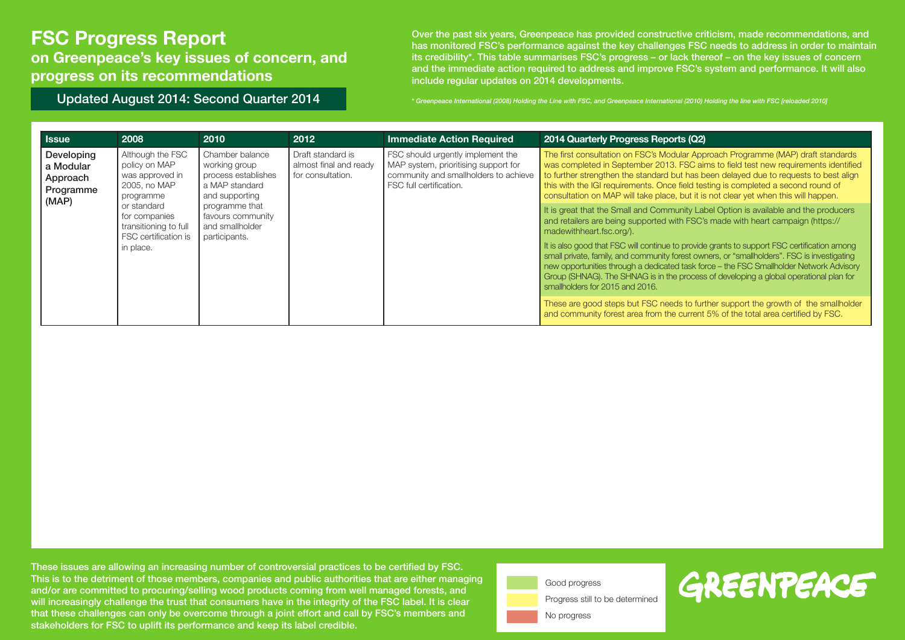on Greenpeace's key issues of concern, and progress on its recommendations

Over the past six years, Greenpeace has provided constructive criticism, made recommendations, and has monitored FSC's performance against the key challenges FSC needs to address in order to maintain its credibility\*. This table summarises FSC's progress – or lack thereof – on the key issues of concern and the immediate action required to address and improve FSC's system and performance. It will also include regular updates on 2014 developments.

Updated August 2014: Second Quarter 2014 \* The state of thermational (2008) Holding the Line with FSC, and Greenpeace International (2010) Holding the line with FSC [reloaded 2010]

| <b>Issue</b>                                              | 2008                                                                                                                                                                            | 2010                                                                                                                                                                   | 2012                                                             | <b>Immediate Action Required</b>                                                                                                              | 2014 Quarterly Progress Reports (Q2)                                                                                                                                                                                                                                                                                                                                                                                                                                                                                                                                                                                      |
|-----------------------------------------------------------|---------------------------------------------------------------------------------------------------------------------------------------------------------------------------------|------------------------------------------------------------------------------------------------------------------------------------------------------------------------|------------------------------------------------------------------|-----------------------------------------------------------------------------------------------------------------------------------------------|---------------------------------------------------------------------------------------------------------------------------------------------------------------------------------------------------------------------------------------------------------------------------------------------------------------------------------------------------------------------------------------------------------------------------------------------------------------------------------------------------------------------------------------------------------------------------------------------------------------------------|
| Developing<br>a Modular<br>Approach<br>Programme<br>(MAP) | Although the FSC<br>policy on MAP<br>was approved in<br>2005, no MAP<br>programme<br>or standard<br>for companies<br>transitioning to full<br>FSC certification is<br>in place. | Chamber balance<br>working group<br>process establishes<br>a MAP standard<br>and supporting<br>programme that<br>favours community<br>and smallholder<br>participants. | Draft standard is<br>almost final and ready<br>for consultation. | FSC should urgently implement the<br>MAP system, prioritising support for<br>community and smallholders to achieve<br>FSC full certification. | The first consultation on FSC's Modular Approach Programme (MAP) draft standards<br>was completed in September 2013. FSC aims to field test new requirements identified<br>to further strengthen the standard but has been delayed due to requests to best align<br>this with the IGI requirements. Once field testing is completed a second round of<br>consultation on MAP will take place, but it is not clear yet when this will happen.                                                                                                                                                                              |
|                                                           |                                                                                                                                                                                 |                                                                                                                                                                        |                                                                  |                                                                                                                                               | It is great that the Small and Community Label Option is available and the producers<br>and retailers are being supported with FSC's made with heart campaign (https://<br>madewithheart.fsc.org/).<br>It is also good that FSC will continue to provide grants to support FSC certification among<br>small private, family, and community forest owners, or "smallholders". FSC is investigating<br>new opportunities through a dedicated task force - the FSC Smallholder Network Advisory<br>Group (SHNAG). The SHNAG is in the process of developing a global operational plan for<br>smallholders for 2015 and 2016. |
|                                                           |                                                                                                                                                                                 |                                                                                                                                                                        |                                                                  |                                                                                                                                               | These are good steps but FSC needs to further support the growth of the smallholder<br>and community forest area from the current 5% of the total area certified by FSC.                                                                                                                                                                                                                                                                                                                                                                                                                                                  |